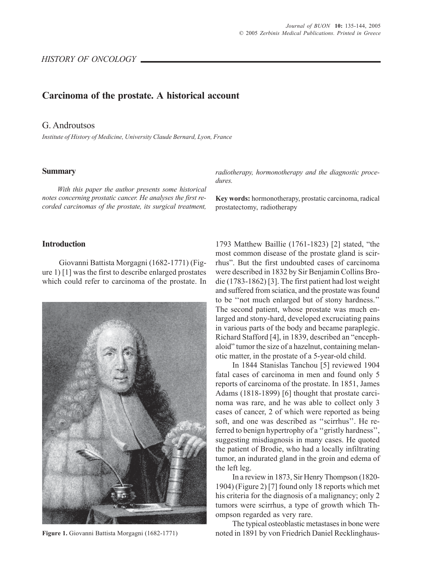# **Carcinoma of the prostate. A historical account**

# G. Androutsos

*Institute of History of Medicine, University Claude Bernard, Lyon, France*

## **Summary**

*With this paper the author presents some historical notes concerning prostatic cancer. He analyses the first recorded carcinomas of the prostate, its surgical treatment,*

# **Introduction**

Giovanni Battista Morgagni (1682-1771) (Figure 1) [1] was the first to describe enlarged prostates which could refer to carcinoma of the prostate. In



*radiotherapy, hormonotherapy and the diagnostic procedures.*

**Key words:** hormonotherapy, prostatic carcinoma, radical prostatectomy, radiotherapy

1793 Matthew Baillie (1761-1823) [2] stated, "the most common disease of the prostate gland is scirrhus". But the first undoubted cases of carcinoma were described in 1832 by Sir Benjamin Collins Brodie (1783-1862) [3]. The first patient had lost weight and suffered from sciatica, and the prostate was found to be ''not much enlarged but of stony hardness.'' The second patient, whose prostate was much enlarged and stony-hard, developed excruciating pains in various parts of the body and became paraplegic. Richard Stafford [4], in 1839, described an "encephaloid" tumor the size of a hazelnut, containing melanotic matter, in the prostate of a 5-year-old child.

In 1844 Stanislas Tanchou [5] reviewed 1904 fatal cases of carcinoma in men and found only 5 reports of carcinoma of the prostate. In 1851, James Adams (1818-1899) [6] thought that prostate carcinoma was rare, and he was able to collect only 3 cases of cancer, 2 of which were reported as being soft, and one was described as ''scirrhus''. He referred to benign hypertrophy of a ''gristly hardness'', suggesting misdiagnosis in many cases. He quoted the patient of Brodie, who had a locally infiltrating tumor, an indurated gland in the groin and edema of the left leg.

In a review in 1873, Sir Henry Thompson (1820- 1904) (Figure 2) [7] found only 18 reports which met his criteria for the diagnosis of a malignancy; only 2 tumors were scirrhus, a type of growth which Thompson regarded as very rare.

The typical osteoblastic metastases in bone were **Figure 1.** Giovanni Battista Morgagni (1682-1771) noted in 1891 by von Friedrich Daniel Recklinghaus-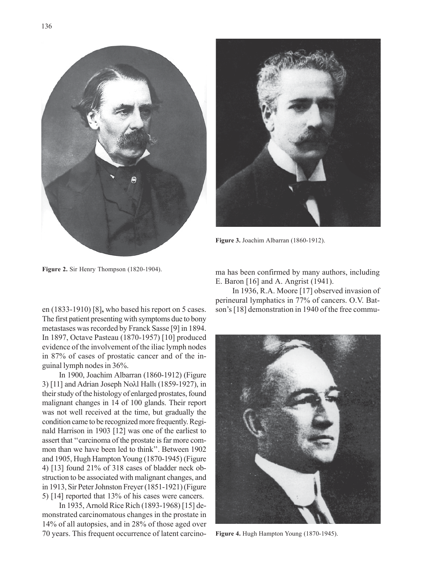



**Figure 3.** Joachim Albarran (1860-1912).

**Figure 2.** Sir Henry Thompson (1820-1904).

en (1833-1910) [8]**,** who based his report on 5 cases. The first patient presenting with symptoms due to bony metastases was recorded by Franck Sasse [9] in 1894. In 1897, Octave Pasteau (1870-1957) [10] produced evidence of the involvement of the iliac lymph nodes in 87% of cases of prostatic cancer and of the inguinal lymph nodes in 36%.

In 1900, Joachim Albarran (1860-1912) (Figure 3) [11] and Adrian Joseph No $\lambda$ l Hallt (1859-1927), in their study of the histology of enlarged prostates, found malignant changes in 14 of 100 glands. Their report was not well received at the time, but gradually the condition came to be recognized more frequently. Reginald Harrison in 1903 [12] was one of the earliest to assert that ''carcinoma of the prostate is far more common than we have been led to think''. Between 1902 and 1905, Hugh Hampton Young (1870-1945) (Figure 4) [13] found 21% of 318 cases of bladder neck obstruction to be associated with malignant changes, and in 1913, Sir Peter Johnston Freyer (1851-1921) (Figure 5) [14] reported that 13% of his cases were cancers.

In 1935, Arnold Rice Rich (1893-1968) [15] demonstrated carcinomatous changes in the prostate in 14% of all autopsies, and in 28% of those aged over 70 years. This frequent occurrence of latent carcinoma has been confirmed by many authors, including E. Baron [16] and A. Angrist (1941).

In 1936, R.A. Moore [17] observed invasion of perineural lymphatics in 77% of cancers. O.V. Batson's [18] demonstration in 1940 of the free commu-



**Figure 4.** Hugh Hampton Young (1870-1945).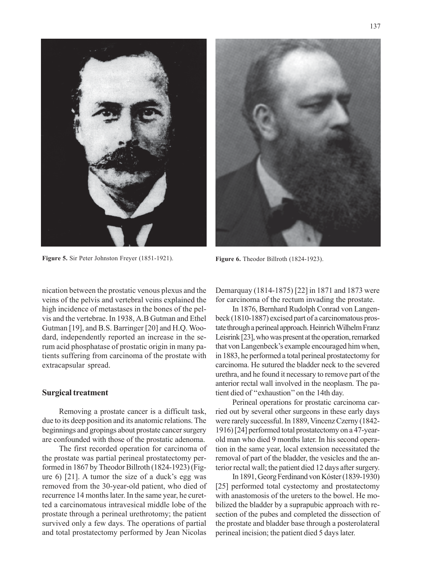

**Figure 5.** Sir Peter Johnston Freyer (1851-1921). **Figure 6.** Theodor Billroth (1824-1923).



nication between the prostatic venous plexus and the veins of the pelvis and vertebral veins explained the high incidence of metastases in the bones of the pelvis and the vertebrae. In 1938, A.B Gutman and Ethel Gutman [19], and B.S. Barringer [20] and H.Q. Woodard, independently reported an increase in the serum acid phosphatase of prostatic origin in many patients suffering from carcinoma of the prostate with extracapsular spread.

## **Surgical treatment**

Removing a prostate cancer is a difficult task, due to its deep position and its anatomic relations. The beginnings and gropings about prostate cancer surgery are confounded with those of the prostatic adenoma.

The first recorded operation for carcinoma of the prostate was partial perineal prostatectomy performed in 1867 by Theodor Billroth (1824-1923) (Figure 6) [21]. A tumor the size of a duck's egg was removed from the 30-year-old patient, who died of recurrence 14 months later. In the same year, he curetted a carcinomatous intravesical middle lobe of the prostate through a perineal urethrotomy; the patient survived only a few days. The operations of partial and total prostatectomy performed by Jean Nicolas

Demarquay (1814-1875) [22] in 1871 and 1873 were for carcinoma of the rectum invading the prostate.

In 1876, Bernhard Rudolph Conrad von Langenbeck (1810-1887) excised part of a carcinomatous prostate through a perineal approach. Heinrich Wilhelm Franz Leisrink [23], who was present at the operation, remarked that von Langenbeck's example encouraged him when, in 1883, he performed a total perineal prostatectomy for carcinoma. He sutured the bladder neck to the severed urethra, and he found it necessary to remove part of the anterior rectal wall involved in the neoplasm. The patient died of ''exhaustion'' on the 14th day.

Perineal operations for prostatic carcinoma carried out by several other surgeons in these early days were rarely successful. In 1889, Vincenz Czerny (1842- 1916)[24] performed total prostatectomy on a 47-yearold man who died 9 months later. In his second operation in the same year, local extension necessitated the removal of part of the bladder, the vesicles and the anterior rectal wall; the patient died 12 days after surgery.

In 1891, Georg Ferdinand von Kóster (1839-1930) [25] performed total cystectomy and prostatectomy with anastomosis of the ureters to the bowel. He mobilized the bladder by a suprapubic approach with resection of the pubes and completed the dissection of the prostate and bladder base through a posterolateral perineal incision; the patient died 5 days later.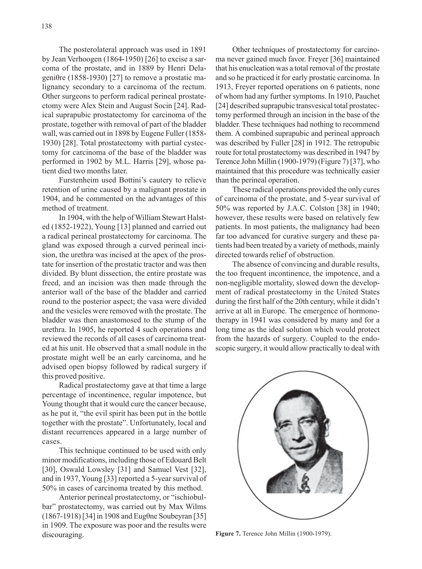The posterolateral approach was used in 1891 by Jean Verhoogen (1864-1950) [26] to excise a sarcoma of the prostate, and in 1889 by Henri Delageni $\theta$ re (1858-1930) [27] to remove a prostatic malignancy secondary to a carcinoma of the rectum. Other surgeons to perform radical perineal prostatectomy were Alex Stein and August Socin [24]. Radical suprapubic prostatectomy for carcinoma of the prostate, together with removal of part of the bladder wall, was carried out in 1898 by Eugene Fuller (1858- 1930) [28]. Total prostatectomy with partial cystectomy for carcinoma of the base of the bladder was performed in 1902 by M.L. Harris [29], whose patient died two months later.

Furstenheim used Bottini's cautery to relieve retention of urine caused by a malignant prostate in 1904, and he commented on the advantages of this method of treatment.

In 1904, with the help of William Stewart Halsted (1852-1922), Young [13] planned and carried out a radical perineal prostatectomy for carcinoma. The gland was exposed through a curved perineal incision, the urethra was incised at the apex of the prostate for insertion of the prostatic tractor and was then divided. By blunt dissection, the entire prostate was freed, and an incision was then made through the anterior wall of the base of the bladder and carried round to the posterior aspect; the vasa were divided and the vesicles were removed with the prostate. The bladder was then anastomosed to the stump of the urethra. In 1905, he reported 4 such operations and reviewed the records of all cases of carcinoma treated at his unit. He observed that a small nodule in the prostate might well be an early carcinoma, and he advised open biopsy followed by radical surgery if this proved positive.

Radical prostatectomy gave at that time a large percentage of incontinence, regular impotence, but Young thought that it would cure the cancer because, as he put it, "the evil spirit has been put in the bottle together with the prostate". Unfortunately, local and distant recurrences appeared in a large number of cases.

This technique continued to be used with only minor modifications, including those of Edouard Belt [30], Oswald Lowsley [31] and Samuel Vest [32], and in 1937, Young [33] reported a 5-year survival of 50% in cases of carcinoma treated by this method.

Anterior perineal prostatectomy, or "ischiobulbar" prostatectomy, was carried out by Max Wilms (1867-1918) [34] in 1908 and Eugène Soubeyran [35] in 1909. The exposure was poor and the results were discouraging.

Other techniques of prostatectomy for carcinoma never gained much favor. Freyer [36] maintained that his enucleation was a total removal of the prostate and so he practiced it for early prostatic carcinoma. In 1913, Freyer reported operations on 6 patients, none of whom had any further symptoms. In 1910, Pauchet [24] described suprapubic transvesical total prostatectomy performed through an incision in the base of the bladder. These techniques had nothing to recommend them. A combined suprapubic and perineal approach was described by Fuller [28] in 1912. The retropubic route for total prostatectomy was described in 1947 by Terence John Millin (1900-1979) (Figure 7) [37], who maintained that this procedure was technically easier than the perineal operation.

These radical operations provided the only cures of carcinoma of the prostate, and 5-year survival of 50% was reported by J.A.C. Colston [38] in 1940; however, these results were based on relatively few patients. In most patients, the malignancy had been far too advanced for curative surgery and these patients had been treated by a variety of methods, mainly directed towards relief of obstruction.

The absence of convincing and durable results, the too frequent incontinence, the impotence, and a non-negligible mortality, slowed down the development of radical prostatectomy in the United States during the first half of the 20th century, while it didn't arrive at all in Europe. The emergence of hormonotherapy in 1941 was considered by many and for a long time as the ideal solution which would protect from the hazards of surgery. Coupled to the endoscopic surgery, it would allow practically to deal with



**Figure 7.** Terence John Millin (1900-1979).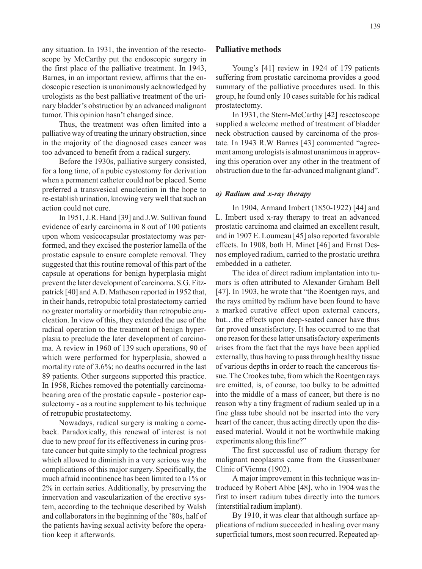any situation. In 1931, the invention of the resectoscope by McCarthy put the endoscopic surgery in the first place of the palliative treatment. In 1943, Barnes, in an important review, affirms that the endoscopic resection is unanimously acknowledged by urologists as the best palliative treatment of the urinary bladder's obstruction by an advanced malignant tumor. This opinion hasn't changed since.

Thus, the treatment was often limited into a palliative way of treating the urinary obstruction, since in the majority of the diagnosed cases cancer was too advanced to benefit from a radical surgery.

Before the 1930s, palliative surgery consisted, for a long time, of a pubic cystostomy for derivation when a permanent catheter could not be placed. Some preferred a transvesical enucleation in the hope to re-establish urination, knowing very well that such an action could not cure.

In 1951, J.R. Hand [39] and J.W. Sullivan found evidence of early carcinoma in 8 out of 100 patients upon whom vesicocapsular prostatectomy was performed, and they excised the posterior lamella of the prostatic capsule to ensure complete removal. They suggested that this routine removal of this part of the capsule at operations for benign hyperplasia might prevent the later development of carcinoma. S.G. Fitzpatrick [40] and A.D. Matheson reported in 1952 that, in their hands, retropubic total prostatectomy carried no greater mortality or morbidity than retropubic enucleation. In view of this, they extended the use of the radical operation to the treatment of benign hyperplasia to preclude the later development of carcinoma. A review in 1960 of 139 such operations, 90 of which were performed for hyperplasia, showed a mortality rate of 3.6%; no deaths occurred in the last 89 patients. Other surgeons supported this practice. In 1958, Riches removed the potentially carcinomabearing area of the prostatic capsule - posterior capsulectomy - as a routine supplement to his technique of retropubic prostatectomy.

Nowadays, radical surgery is making a comeback. Paradoxically, this renewal of interest is not due to new proof for its effectiveness in curing prostate cancer but quite simply to the technical progress which allowed to diminish in a very serious way the complications of this major surgery. Specifically, the much afraid incontinence has been limited to a 1% or 2% in certain series. Additionally, by preserving the innervation and vascularization of the erective system, according to the technique described by Walsh and collaborators in the beginning of the '80s, half of the patients having sexual activity before the operation keep it afterwards.

## **Palliative methods**

Young's [41] review in 1924 of 179 patients suffering from prostatic carcinoma provides a good summary of the palliative procedures used. In this group, he found only 10 cases suitable for his radical prostatectomy.

In 1931, the Stern-McCarthy [42] resectoscope supplied a welcome method of treatment of bladder neck obstruction caused by carcinoma of the prostate. In 1943 R.W Barnes [43] commented "agreement among urologists is almost unanimous in approving this operation over any other in the treatment of obstruction due to the far-advanced malignant gland".

#### *a) Radium and x-ray therapy*

In 1904, Armand Imbert (1850-1922) [44] and L. Imbert used x-ray therapy to treat an advanced prostatic carcinoma and claimed an excellent result, and in 1907 E. Loumeau [45] also reported favorable effects. In 1908, both H. Minet [46] and Ernst Desnos employed radium, carried to the prostatic urethra embedded in a catheter.

The idea of direct radium implantation into tumors is often attributed to Alexander Graham Bell [47]. In 1903, he wrote that "the Roentgen rays, and the rays emitted by radium have been found to have a marked curative effect upon external cancers, but…the effects upon deep-seated cancer have thus far proved unsatisfactory. It has occurred to me that one reason for these latter unsatisfactory experiments arises from the fact that the rays have been applied externally, thus having to pass through healthy tissue of various depths in order to reach the cancerous tissue. The Crookes tube, from which the Roentgen rays are emitted, is, of course, too bulky to be admitted into the middle of a mass of cancer, but there is no reason why a tiny fragment of radium sealed up in a fine glass tube should not be inserted into the very heart of the cancer, thus acting directly upon the diseased material. Would it not be worthwhile making experiments along this line?"

The first successful use of radium therapy for malignant neoplasms came from the Gussenbauer Clinic of Vienna (1902).

A major improvement in this technique was introduced by Robert Abbe [48], who in 1904 was the first to insert radium tubes directly into the tumors (interstitial radium implant).

By 1910, it was clear that although surface applications of radium succeeded in healing over many superficial tumors, most soon recurred. Repeated ap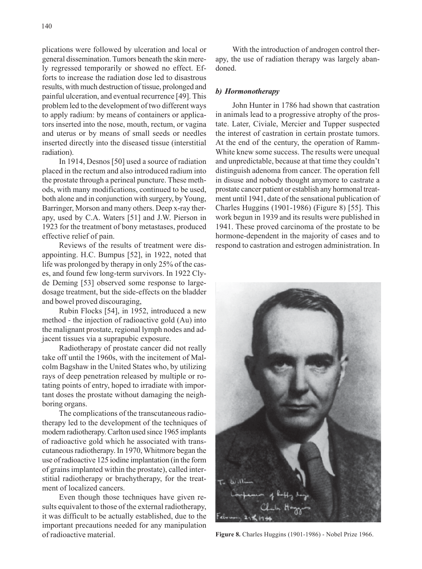plications were followed by ulceration and local or general dissemination. Tumors beneath the skin merely regressed temporarily or showed no effect. Efforts to increase the radiation dose led to disastrous results, with much destruction of tissue, prolonged and painful ulceration, and eventual recurrence [49]. This problem led to the development of two different ways to apply radium: by means of containers or applicators inserted into the nose, mouth, rectum, or vagina and uterus or by means of small seeds or needles inserted directly into the diseased tissue (interstitial radiation).

In 1914, Desnos [50] used a source of radiation placed in the rectum and also introduced radium into the prostate through a perineal puncture. These methods, with many modifications, continued to be used, both alone and in conjunction with surgery, by Young, Barringer, Morson and many others. Deep x-ray therapy, used by C.A. Waters [51] and J.W. Pierson in 1923 for the treatment of bony metastases, produced effective relief of pain.

Reviews of the results of treatment were disappointing. H.C. Bumpus [52], in 1922, noted that life was prolonged by therapy in only 25% of the cases, and found few long-term survivors. In 1922 Clyde Deming [53] observed some response to largedosage treatment, but the side-effects on the bladder and bowel proved discouraging,

Rubin Flocks [54], in 1952, introduced a new method - the injection of radioactive gold (Au) into the malignant prostate, regional lymph nodes and adjacent tissues via a suprapubic exposure.

Radiotherapy of prostate cancer did not really take off until the 1960s, with the incitement of Malcolm Bagshaw in the United States who, by utilizing rays of deep penetration released by multiple or rotating points of entry, hoped to irradiate with important doses the prostate without damaging the neighboring organs.

The complications of the transcutaneous radiotherapy led to the development of the techniques of modern radiotherapy. Carlton used since 1965 implants of radioactive gold which he associated with transcutaneous radiotherapy. In 1970, Whitmore began the use of radioactive 125 iodine implantation (in the form of grains implanted within the prostate), called interstitial radiotherapy or brachytherapy, for the treatment of localized cancers.

Even though those techniques have given results equivalent to those of the external radiotherapy, it was difficult to be actually established, due to the important precautions needed for any manipulation of radioactive material.

With the introduction of androgen control therapy, the use of radiation therapy was largely abandoned.

## *b) Hormonotherapy*

John Hunter in 1786 had shown that castration in animals lead to a progressive atrophy of the prostate. Later, Civiale, Mercier and Tupper suspected the interest of castration in certain prostate tumors. At the end of the century, the operation of Ramm-White knew some success. The results were unequal and unpredictable, because at that time they couldn't distinguish adenoma from cancer. The operation fell in disuse and nobody thought anymore to castrate a prostate cancer patient or establish any hormonal treatment until 1941, date of the sensational publication of Charles Huggins (1901-1986) (Figure 8) [55]. This work begun in 1939 and its results were published in 1941. These proved carcinoma of the prostate to be hormone-dependent in the majority of cases and to respond to castration and estrogen administration. In



**Figure 8.** Charles Huggins (1901-1986) - Nobel Prize 1966.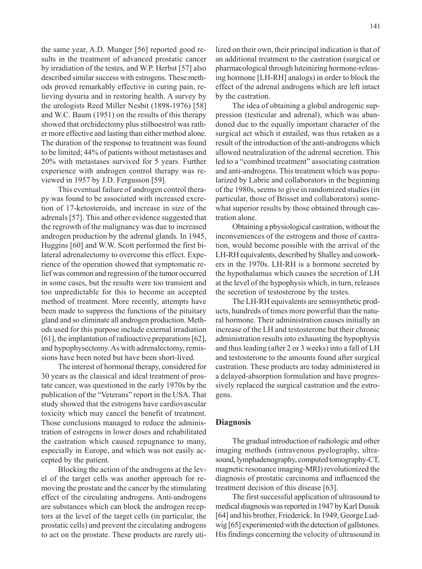the same year, A.D. Munger [56] reported good results in the treatment of advanced prostatic cancer by irradiation of the testes, and W.P. Herbst [57] also described similar success with estrogens. These methods proved remarkably effective in curing pain, relieving dysuria and in restoring health. A survey by the urologists Reed Miller Nesbit (1898-1976) [58] and W.C. Baum (1951) on the results of this therapy showed that orchidectomy plus stilboestrol was rather more effective and lasting than either method alone. The duration of the response to treatment was found to be limited; 44% of patients without metastases and 20% with metastases survived for 5 years. Further experience with androgen control therapy was reviewed in 1957 by J.D. Fergusson [59].

This eventual failure of androgen control therapy was found to be associated with increased excretion of 17-ketosteroids, and increase in size of the adrenals [57]. This and other evidence suggested that the regrowth of the malignancy was due to increased androgen production by the adrenal glands. In 1945, Huggins [60] and W.W. Scott performed the first bilateral adrenalectomy to overcome this effect. Experience of the operation showed that symptomatic relief was common and regression of the tumor occurred in some cases, but the results were too transient and too unpredictable for this to become an accepted method of treatment. More recently, attempts have been made to suppress the functions of the pituitary gland and so eliminate all androgen production. Methods used for this purpose include external irradiation [61], the implantation of radioactive preparations [62], and hypophysectomy. As with adrenalectomy, remissions have been noted but have been short-lived.

The interest of hormonal therapy, considered for 30 years as the classical and ideal treatment of prostate cancer, was questioned in the early 1970s by the publication of the "Veterans" report in the USA. That study showed that the estrogens have cardiovascular toxicity which may cancel the benefit of treatment. Those conclusions managed to reduce the administration of estrogens in lower doses and rehabilitated the castration which caused repugnance to many, especially in Europe, and which was not easily accepted by the patient.

Blocking the action of the androgens at the level of the target cells was another approach for removing the prostate and the cancer by the stimulating effect of the circulating androgens. Anti-androgens are substances which can block the androgen receptors at the level of the target cells (in particular, the prostatic cells) and prevent the circulating androgens to act on the prostate. These products are rarely utilized on their own, their principal indication is that of an additional treatment to the castration (surgical or pharmacological through luteinizing hormone-releasing hormone [LH-RH] analogs) in order to block the effect of the adrenal androgens which are left intact by the castration.

The idea of obtaining a global androgenic suppression (testicular and adrenal), which was abandoned due to the equally important character of the surgical act which it entailed, was thus retaken as a result of the introduction of the anti-androgens which allowed neutralization of the adrenal secretion. This led to a "combined treatment" associating castration and anti-androgens. This treatment which was popularized by Labrie and collaborators in the beginning of the 1980s, seems to give in randomized studies (in particular, those of Brisset and collaborators) somewhat superior results by those obtained through castration alone.

Obtaining a physiological castration, without the inconveniences of the estrogens and those of castration, would become possible with the arrival of the LH-RH equivalents, described by Shalley and coworkers in the 1970s. LH-RH is a hormone secreted by the hypothalamus which causes the secretion of LH at the level of the hypophysis which, in turn, releases the secretion of testosterone by the testes.

The LH-RH equivalents are semisynthetic products, hundreds of times more powerful than the natural hormone. Their administration causes initially an increase of the LH and testosterone but their chronic administration results into exhausting the hypophysis and thus leading (after 2 or 3 weeks) into a fall of LH and testosterone to the amounts found after surgical castration. These products are today administered in a delayed-absorption formulation and have progressively replaced the surgical castration and the estrogens.

#### **Diagnosis**

The gradual introduction of radiologic and other imaging methods (intravenous pyelography, ultrasound, lymphadenography, computed tomography-CT, magnetic resonance imaging-MRI) revolutionized the diagnosis of prostatic carcinoma and influenced the treatment decision of this disease [63].

The first successful application of ultrasound to medical diagnosis was reported in 1947 by Karl Dussik [64] and his brother, Friederick. In 1949, George Ludwig [65] experimented with the detection of gallstones. His findings concerning the velocity of ultrasound in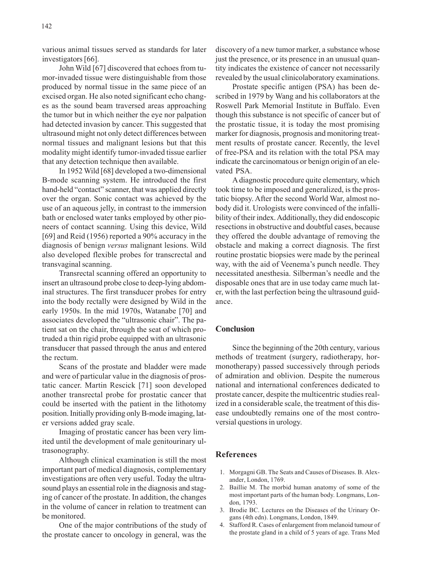various animal tissues served as standards for later investigators [66].

John Wild [67] discovered that echoes from tumor-invaded tissue were distinguishable from those produced by normal tissue in the same piece of an excised organ. He also noted significant echo changes as the sound beam traversed areas approaching the tumor but in which neither the eye nor palpation had detected invasion by cancer. This suggested that ultrasound might not only detect differences between normal tissues and malignant lesions but that this modality might identify tumor-invaded tissue earlier that any detection technique then available.

In 1952 Wild [68] developed a two-dimensional B-mode scanning system. He introduced the first hand-held "contact" scanner, that was applied directly over the organ. Sonic contact was achieved by the use of an aqueous jelly, in contrast to the immersion bath or enclosed water tanks employed by other pioneers of contact scanning. Using this device, Wild [69] and Reid (1956) reported a 90% accuracy in the diagnosis of benign *versus* malignant lesions. Wild also developed flexible probes for transcrectal and transvaginal scanning.

Transrectal scanning offered an opportunity to insert an ultrasound probe close to deep-lying abdominal structures. The first transducer probes for entry into the body rectally were designed by Wild in the early 1950s. In the mid 1970s, Watanabe [70] and associates developed the "ultrasonic chair". The patient sat on the chair, through the seat of which protruded a thin rigid probe equipped with an ultrasonic transducer that passed through the anus and entered the rectum.

Scans of the prostate and bladder were made and were of particular value in the diagnosis of prostatic cancer. Martin Rescick [71] soon developed another transrectal probe for prostatic cancer that could be inserted with the patient in the lithotomy position. Initially providing only B-mode imaging, later versions added gray scale.

Imaging of prostatic cancer has been very limited until the development of male genitourinary ultrasonography.

Although clinical examination is still the most important part of medical diagnosis, complementary investigations are often very useful. Today the ultrasound plays an essential role in the diagnosis and staging of cancer of the prostate. In addition, the changes in the volume of cancer in relation to treatment can be monitored.

One of the major contributions of the study of the prostate cancer to oncology in general, was the

discovery of a new tumor marker, a substance whose just the presence, or its presence in an unusual quantity indicates the existence of cancer not necessarily revealed by the usual clinicolaboratory examinations.

Prostate specific antigen (PSA) has been described in 1979 by Wang and his collaborators at the Roswell Park Memorial Institute in Buffalo. Even though this substance is not specific of cancer but of the prostatic tissue, it is today the most promising marker for diagnosis, prognosis and monitoring treatment results of prostate cancer. Recently, the level of free-PSA and its relation with the total PSA may indicate the carcinomatous or benign origin of an elevated PSA.

A diagnostic procedure quite elementary, which took time to be imposed and generalized, is the prostatic biopsy. After the second World War, almost nobody did it. Urologists were convinced of the infallibility of their index. Additionally, they did endoscopic resections in obstructive and doubtful cases, because they offered the double advantage of removing the obstacle and making a correct diagnosis. The first routine prostatic biopsies were made by the perineal way, with the aid of Veenema's punch needle. They necessitated anesthesia. Silberman's needle and the disposable ones that are in use today came much later, with the last perfection being the ultrasound guidance.

# **Conclusion**

Since the beginning of the 20th century, various methods of treatment (surgery, radiotherapy, hormonotherapy) passed successively through periods of admiration and oblivion. Despite the numerous national and international conferences dedicated to prostate cancer, despite the multicentric studies realized in a considerable scale, the treatment of this disease undoubtedly remains one of the most controversial questions in urology.

## **References**

- 1. Morgagni GB. The Seats and Causes of Diseases. B. Alexander, London, 1769.
- 2. Baillie M. The morbid human anatomy of some of the most important parts of the human body. Longmans, London, 1793.
- 3. Brodie BC. Lectures on the Diseases of the Urinary Organs (4th edn). Longmans, London, 1849.
- 4. Stafford R. Cases of enlargement from melanoid tumour of the prostate gland in a child of 5 years of age. Trans Med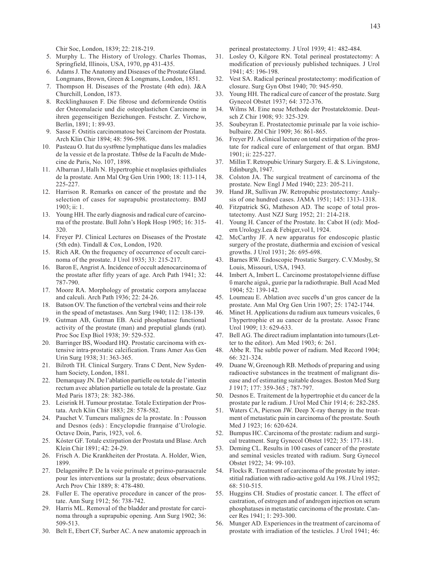Chir Soc, London, 1839; 22: 218-219.

- 5. Murphy L. The History of Urology. Charles Thomas, Springfield, Illinois, USA, 1970, pp 431-435.
- 6. Adams J. The Anatomy and Diseases of the Prostate Gland. Longmans, Brown, Green & Longmans, London, 1851.
- 7. Thompson H. Diseases of the Prostate (4th edn). J&A Churchill, London, 1873.
- 8. Recklinghausen F. Die fibrose und deformirende Ostitis der Osteomalacie und die osteoplastichen Carcinome in ihren gegenseitigen Beziehungen. Festschr. Z. Virchow, Berlin, 1891; 1: 89-93.
- 9. Sasse F. Ostitis carcinomatose bei Carcinom der Prostata. Arch Klin Chir 1894; 48: 596-598.
- 10. Pasteau O. Itat du syst $\theta$ me lymphatique dans les maladies de la vessie et de la prostate. Thêse de la Faculti de Midecine de Paris, No. 107, 1898.
- 11. Albarran J, Hallt N. Hypertrophie et ntoplasies tpithtliales de la prostate. Ann Mal Org Gen Urin 1900; 18: 113-114, 225-227.
- 12. Harrison R. Remarks on cancer of the prostate and the selection of cases for suprapubic prostatectomy. BMJ 1903; ii: 1.
- 13. Young HH. The early diagnosis and radical cure of carcinoma of the prostate. Bull John's Hopk Hosp 1905; 16: 315- 320.
- 14. Freyer PJ. Clinical Lectures on Diseases of the Prostate (5th edn). Tindall & Cox, London, 1920.
- 15. Rich AR. On the frequency of occurrence of occult carcinoma of the prostate. J Urol 1935; 33: 215-217.
- 16. Baron E, Angrist A. Incidence of occult adenocarcinoma of the prostate after fifty years of age. Arch Path 1941; 32: 787-790.
- 17. Moore RA. Morphology of prostatic corpora amylaceae and calculi. Arch Path 1936; 22: 24-26.
- 18. Batson OV. The function of the vertebral veins and their role in the spead of metastases. Ann Surg 1940; 112: 138-139.
- 19. Gutman AB, Gutman EB. Acid phosphatase functional activity of the prostate (man) and preputial glands (rat). Proc Soc Exp Biol 1938; 39: 529-532.
- 20. Barringer BS, Woodard HQ. Prostatic carcinoma with extensive intra-prostatic calcification. Trans Amer Ass Gen Urin Surg 1938; 31: 363-365.
- 21. Bilroth TH. Clinical Surgery. Trans C Dent, New Sydenham Society, London, 1881.
- 22. Demarquay JN. De l'ablation partielle ou totale de l'intestin rectum avec ablation partielle ou totale de la prostate. Gaz Med Paris 1873; 28: 382-386.
- 23. Leisrink H. Tumour prostatae. Totale Extirpation der Prostata. Arch Klin Chir 1883; 28: 578-582.
- 24. Pauchet V. Tumeurs malignes de la prostate. In : Pousson and Desnos (eds) : Encyclopidie franquise d'Urologie. Octave Doin, Paris, 1923, vol. 6.
- 25. Kóster GF. Totale extirpation der Prostata und Blase. Arch Klein Chir 1891; 42: 24-29.
- 26. Frisch A. Die Krankheiten der Prostata. A. Holder, Wien, 1899.
- $27.$  Delageni $\theta$ re P. De la voie purinuale et purine-parasacrale pour les interventions sur la prostate; deux observations. Arch Prov Chir 1889; 8: 478-480.
- 28. Fuller E. The operative procedure in cancer of the prostate. Ann Surg 1912; 56: 738-742.
- 29. Harris ML. Removal of the bladder and prostate for carcinoma through a suprapubic opening. Ann Surg 1902; 36: 509-513.
- 30. Belt E, Ebert CF, Surber AC. A new anatomic approach in

perineal prostatectomy. J Urol 1939; 41: 482-484.

- 31. Losley O, Kilgore RN. Total perineal prostatectomy: A modification of previously published techniques. J Urol 1941; 45: 196-198.
- 32. Vest SA. Radical perineal prostatectomy: modification of closure. Surg Gyn Obst 1940; 70: 945-950.
- 33. Young HH. The radical cure of cancer of the prostate. Surg Gynecol Obstet 1937; 64: 372-376.
- 34. Wilms M. Eine neue Methode der Prostatektomie. Deutsch Z Chir 1908; 93: 325-329.
- 35. Soubeyran E. Prostatectomie piriniale par la voie ischiobulbaire. Zbl Chir 1909; 36: 861-865.
- 36. Freyer PJ. A clinical lecture on total extirpation of the prostate for radical cure of enlargement of that organ. BMJ 1901; ii: 225-227.
- 37. Millin T. Retropubic Urinary Surgery. E. & S. Livingstone, Edinburgh, 1947.
- 38. Colston JA. The surgical treatment of carcinoma of the prostate. New Engl J Med 1940; 223: 205-211.
- 39. Hand JR, Sullivan JW. Retropubic prostatectomy: Analysis of one hundred cases. JAMA 1951; 145: 1313-1318.
- 40. Fitzpatrick SG, Matheson AD. The scope of total prostatectomy. Aust NZJ Surg 1952; 21: 214-218.
- 41. Young H. Cancer of the Prostate. In: Cabot H (ed): Modern Urology.Lea & Febiger,vol I, 1924.
- 42. McCarthy JF. A new apparatus for endoscopic plastic surgery of the prostate, diathermia and excision of vesical growths. J Urol 1931; 26: 695-698.
- 43. Barnes RW. Endoscopic Prostatic Surgery. C.V.Mosby, St Louis, Missouri, USA, 1943.
- 44. Imbert A, Imbert L. Carcinome prostatopelvienne diffuse  $\ddot{\text{o}}$  marche aigu $\lambda$ , guirie par la radiothirapie. Bull Acad Med 1904; 52: 139-142.
- 45. Loumeau E. Ablation avec succès d'un gros cancer de la prostate. Ann Mal Org Gen Urin 1907; 25: 1742-1744.
- 46. Minet H. Applications du radium aux tumeurs visicales,  $\ddot{\text{o}}$ l'hypertrophie et au cancer de la prostate. Assoc Franc Urol 1909; 13: 629-633.
- 47. Bell AG. The direct radium implantation into tumours (Letter to the editor). Am Med 1903; 6: 261.
- 48. Abbe R. The subtle power of radium. Med Record 1904; 66: 321-324.
- 49. Duane W, Greenough RB. Methods of preparing and using radioactive substances in the treatment of malignant disease and of estimating suitable dosages. Boston Med Surg J 1917; 177: 359-365 ; 787-797.
- 50. Desnos E. Traitement de la hypertrophie et du cancer de la prostate par le radium. J Urol Med Chir 1914; 6: 282-285.
- 51. Waters CA, Pierson JW. Deep X-ray therapy in the treatment of metastatic pain in carcinoma of the prostate. South Med J 1923; 16: 620-624.
- 52. Bumpus HC. Carcinoma of the prostate: radium and surgical treatment. Surg Gynecol Obstet 1922; 35: 177-181.
- 53. Deming CL. Results in 100 cases of cancer of the prostate and seminal vesicles treated with radium. Surg Gynecol Obstet 1922; 34: 99-103.
- 54. Flocks R. Treatment of carcinoma of the prostate by interstitial radiation with radio-active gold Au 198. J Urol 1952; 68: 510-515.
- 55. Huggins CH. Studies of prostatic cancer. I. The effect of castration, of estrogen and of androgen injection on serum phosphatases in metastatic carcinoma of the prostate. Cancer Res 1941; 1: 293-300.
- 56. Munger AD. Experiences in the treatment of carcinoma of prostate with irradiation of the testicles. J Urol 1941; 46: